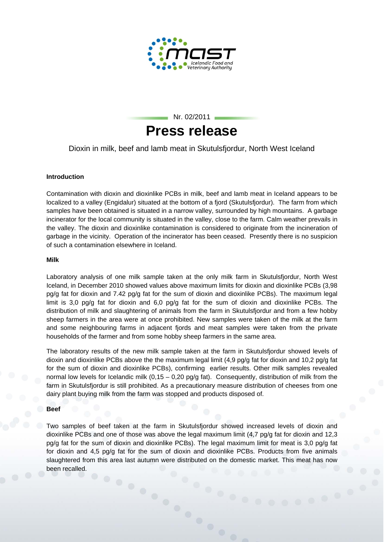



Dioxin in milk, beef and lamb meat in Skutulsfjordur, North West Iceland

# **Introduction**

Contamination with dioxin and dioxinlike PCBs in milk, beef and lamb meat in Iceland appears to be localized to a valley (Engidalur) situated at the bottom of a fjord (Skutulsfjordur). The farm from which samples have been obtained is situated in a narrow valley, surrounded by high mountains. A garbage incinerator for the local community is situated in the valley, close to the farm. Calm weather prevails in the valley. The dioxin and dioxinlike contamination is considered to originate from the incineration of garbage in the vicinity. Operation of the incinerator has been ceased. Presently there is no suspicion of such a contamination elsewhere in Iceland.

### **Milk**

Laboratory analysis of one milk sample taken at the only milk farm in Skutulsfjordur, North West Iceland, in December 2010 showed values above maximum limits for dioxin and dioxinlike PCBs (3,98 pg/g fat for dioxin and 7.42 pg/g fat for the sum of dioxin and dioxinlike PCBs). The maximum legal limit is 3,0 pg/g fat for dioxin and 6,0 pg/g fat for the sum of dioxin and dioxinlike PCBs. The distribution of milk and slaughtering of animals from the farm in Skutulsfjordur and from a few hobby sheep farmers in the area were at once prohibited. New samples were taken of the milk at the farm and some neighbouring farms in adiacent fiords and meat samples were taken from the private households of the farmer and from some hobby sheep farmers in the same area.

The laboratory results of the new milk sample taken at the farm in Skutulsfjordur showed levels of dioxin and dioxinlike PCBs above the the maximum legal limit (4,9 pg/g fat for dioxin and 10,2 pg/g fat for the sum of dioxin and dioxinlike PCBs), confirming earlier results. Other milk samples revealed normal low levels for Icelandic milk  $(0.15 - 0.20 \text{ pq/g} \text{ fat})$ . Consequently, distribution of milk from the farm in Skutulsfjordur is still prohibited. As a precautionary measure distribution of cheeses from one dairy plant buying milk from the farm was stopped and products disposed of.

### **Beef**

Two samples of beef taken at the farm in Skutulsfjordur showed increased levels of dioxin and dioxinlike PCBs and one of those was above the legal maximum limit (4,7 pg/g fat for dioxin and 12,3 pg/g fat for the sum of dioxin and dioxinlike PCBs). The legal maximum limit for meat is 3,0 pg/g fat for dioxin and 4,5 pg/g fat for the sum of dioxin and dioxinlike PCBs. Products from five animals slaughtered from this area last autumn were distributed on the domestic market. This meat has now<br>been recalled. been recalled.